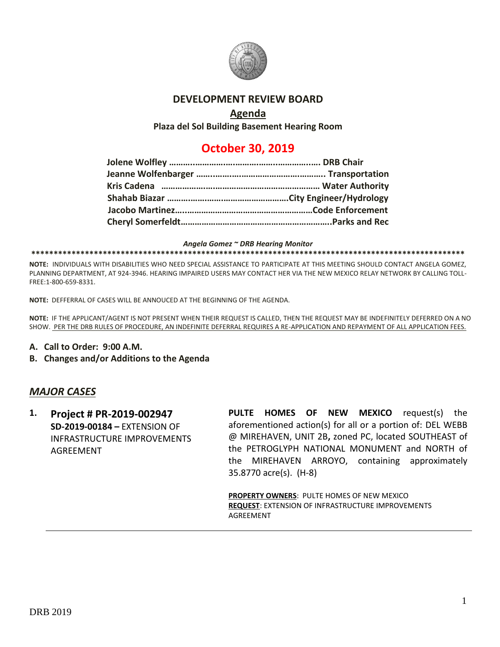

### **DEVELOPMENT REVIEW BOARD**

## **Agenda**

**Plaza del Sol Building Basement Hearing Room**

# **October 30, 2019**

### *Angela Gomez ~ DRB Hearing Monitor*

#### **\*\*\*\*\*\*\*\*\*\*\*\*\*\*\*\*\*\*\*\*\*\*\*\*\*\*\*\*\*\*\*\*\*\*\*\*\*\*\*\*\*\*\*\*\*\*\*\*\*\*\*\*\*\*\*\*\*\*\*\*\*\*\*\*\*\*\*\*\*\*\*\*\*\*\*\*\*\*\*\*\*\*\*\*\*\*\*\*\*\*\*\*\*\*\*\*\***

**NOTE:** INDIVIDUALS WITH DISABILITIES WHO NEED SPECIAL ASSISTANCE TO PARTICIPATE AT THIS MEETING SHOULD CONTACT ANGELA GOMEZ, PLANNING DEPARTMENT, AT 924-3946. HEARING IMPAIRED USERS MAY CONTACT HER VIA THE NEW MEXICO RELAY NETWORK BY CALLING TOLL-FREE:1-800-659-8331.

**NOTE:** DEFFERRAL OF CASES WILL BE ANNOUCED AT THE BEGINNING OF THE AGENDA.

**NOTE:** IF THE APPLICANT/AGENT IS NOT PRESENT WHEN THEIR REQUEST IS CALLED, THEN THE REQUEST MAY BE INDEFINITELY DEFERRED ON A NO SHOW. PER THE DRB RULES OF PROCEDURE, AN INDEFINITE DEFERRAL REQUIRES A RE-APPLICATION AND REPAYMENT OF ALL APPLICATION FEES.

- **A. Call to Order: 9:00 A.M.**
- **B. Changes and/or Additions to the Agenda**

### *MAJOR CASES*

**1. Project # PR-2019-002947 SD-2019-00184 –** EXTENSION OF INFRASTRUCTURE IMPROVEMENTS **AGREEMENT** 

**PULTE HOMES OF NEW MEXICO** request(s) the aforementioned action(s) for all or a portion of: DEL WEBB @ MIREHAVEN, UNIT 2B**,** zoned PC, located SOUTHEAST of the PETROGLYPH NATIONAL MONUMENT and NORTH of the MIREHAVEN ARROYO, containing approximately 35.8770 acre(s). (H-8)

**PROPERTY OWNERS**: PULTE HOMES OF NEW MEXICO **REQUEST**: EXTENSION OF INFRASTRUCTURE IMPROVEMENTS AGREEMENT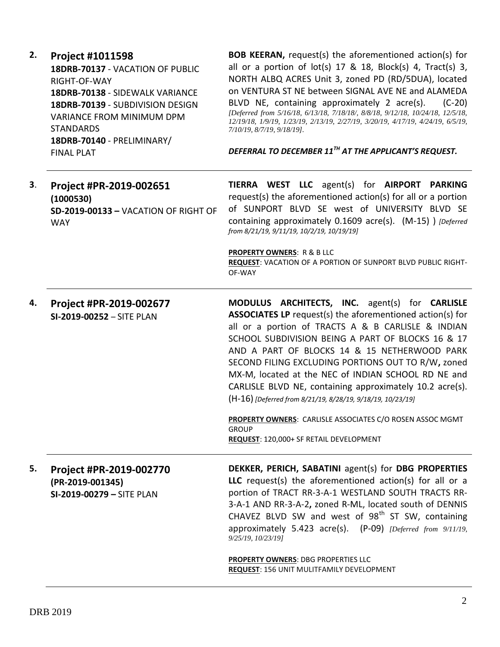| 2. | <b>Project #1011598</b><br>18DRB-70137 - VACATION OF PUBLIC<br>RIGHT-OF-WAY<br>18DRB-70138 - SIDEWALK VARIANCE<br>18DRB-70139 - SUBDIVISION DESIGN<br><b>VARIANCE FROM MINIMUM DPM</b><br><b>STANDARDS</b><br>18DRB-70140 - PRELIMINARY/<br><b>FINAL PLAT</b> | <b>BOB KEERAN, request(s) the aforementioned action(s) for</b><br>all or a portion of $lot(s)$ 17 & 18, $Block(s)$ 4, $Tract(s)$ 3,<br>NORTH ALBQ ACRES Unit 3, zoned PD (RD/5DUA), located<br>on VENTURA ST NE between SIGNAL AVE NE and ALAMEDA<br>BLVD NE, containing approximately 2 acre(s).<br>$(C-20)$<br>[Deferred from 5/16/18, 6/13/18, 7/18/18/, 8/8/18, 9/12/18, 10/24/18, 12/5/18,<br>12/19/18, 1/9/19, 1/23/19, 2/13/19, 2/27/19, 3/20/19, 4/17/19, 4/24/19, 6/5/19,<br>7/10/19, 8/7/19, 9/18/19].<br>DEFERRAL TO DECEMBER 11 <sup>TH</sup> AT THE APPLICANT'S REQUEST.                                                        |
|----|---------------------------------------------------------------------------------------------------------------------------------------------------------------------------------------------------------------------------------------------------------------|----------------------------------------------------------------------------------------------------------------------------------------------------------------------------------------------------------------------------------------------------------------------------------------------------------------------------------------------------------------------------------------------------------------------------------------------------------------------------------------------------------------------------------------------------------------------------------------------------------------------------------------------|
| 3. | Project #PR-2019-002651<br>(1000530)<br>SD-2019-00133 - VACATION OF RIGHT OF<br><b>WAY</b>                                                                                                                                                                    | TIERRA WEST LLC agent(s) for AIRPORT PARKING<br>request(s) the aforementioned action(s) for all or a portion<br>of SUNPORT BLVD SE west of UNIVERSITY BLVD SE<br>containing approximately 0.1609 acre(s). (M-15) ) [Deferred<br>from 8/21/19, 9/11/19, 10/2/19, 10/19/19]<br><b>PROPERTY OWNERS: R &amp; B LLC</b><br><b>REQUEST: VACATION OF A PORTION OF SUNPORT BLVD PUBLIC RIGHT-</b><br>OF-WAY                                                                                                                                                                                                                                          |
| 4. | Project #PR-2019-002677<br>SI-2019-00252 - SITE PLAN                                                                                                                                                                                                          | MODULUS ARCHITECTS, INC. agent(s) for CARLISLE<br><b>ASSOCIATES LP</b> request(s) the aforementioned action(s) for<br>all or a portion of TRACTS A & B CARLISLE & INDIAN<br>SCHOOL SUBDIVISION BEING A PART OF BLOCKS 16 & 17<br>AND A PART OF BLOCKS 14 & 15 NETHERWOOD PARK<br>SECOND FILING EXCLUDING PORTIONS OUT TO R/W, zoned<br>MX-M, located at the NEC of INDIAN SCHOOL RD NE and<br>CARLISLE BLVD NE, containing approximately 10.2 acre(s).<br>(H-16) [Deferred from 8/21/19, 8/28/19, 9/18/19, 10/23/19]<br>PROPERTY OWNERS: CARLISLE ASSOCIATES C/O ROSEN ASSOC MGMT<br><b>GROUP</b><br>REQUEST: 120,000+ SF RETAIL DEVELOPMENT |
| 5. | Project #PR-2019-002770<br>(PR-2019-001345)<br>SI-2019-00279 - SITE PLAN                                                                                                                                                                                      | DEKKER, PERICH, SABATINI agent(s) for DBG PROPERTIES<br>LLC request(s) the aforementioned action(s) for all or a<br>portion of TRACT RR-3-A-1 WESTLAND SOUTH TRACTS RR-<br>3-A-1 AND RR-3-A-2, zoned R-ML, located south of DENNIS<br>CHAVEZ BLVD SW and west of 98 <sup>th</sup> ST SW, containing<br>approximately 5.423 acre(s). (P-09) [Deferred from 9/11/19,<br>9/25/19, 10/23/19]<br>PROPERTY OWNERS: DBG PROPERTIES LLC<br><b>REQUEST: 156 UNIT MULITFAMILY DEVELOPMENT</b>                                                                                                                                                          |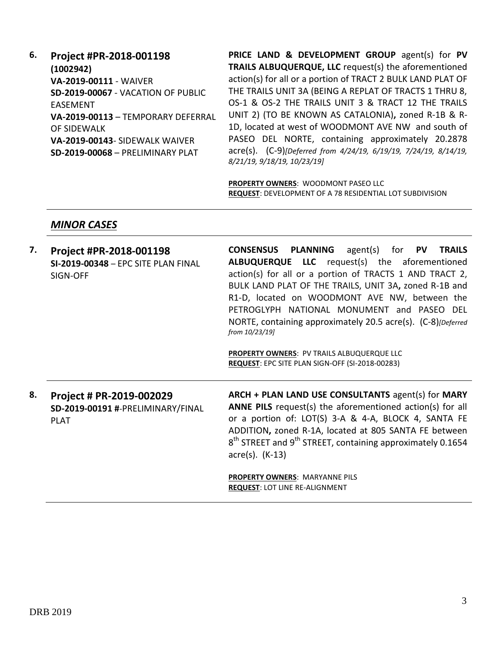**6. Project #PR-2018-001198 (1002942) VA-2019-00111** - WAIVER **SD-2019-00067** - VACATION OF PUBLIC EASEMENT **VA-2019-00113** – TEMPORARY DEFERRAL OF SIDEWALK **VA-2019-00143**- SIDEWALK WAIVER **SD-2019-00068** – PRELIMINARY PLAT

**PRICE LAND & DEVELOPMENT GROUP** agent(s) for **PV TRAILS ALBUQUERQUE, LLC** request(s) the aforementioned action(s) for all or a portion of TRACT 2 BULK LAND PLAT OF THE TRAILS UNIT 3A (BEING A REPLAT OF TRACTS 1 THRU 8, OS-1 & OS-2 THE TRAILS UNIT 3 & TRACT 12 THE TRAILS UNIT 2) (TO BE KNOWN AS CATALONIA)**,** zoned R-1B & R-1D, located at west of WOODMONT AVE NW and south of PASEO DEL NORTE, containing approximately 20.2878 acre(s). (C-9)*[Deferred from 4/24/19, 6/19/19, 7/24/19, 8/14/19, 8/21/19, 9/18/19, 10/23/19]*

**PROPERTY OWNERS**: WOODMONT PASEO LLC **REQUEST**: DEVELOPMENT OF A 78 RESIDENTIAL LOT SUBDIVISION

### *MINOR CASES*

| 7. | Project #PR-2018-001198<br>SI-2019-00348 - EPC SITE PLAN FINAL<br>SIGN-OFF   | <b>CONSENSUS PLANNING</b><br>agent(s) for $PV$<br><b>TRAILS</b><br>ALBUQUERQUE LLC request(s) the aforementioned<br>action(s) for all or a portion of TRACTS 1 AND TRACT 2,<br>BULK LAND PLAT OF THE TRAILS, UNIT 3A, zoned R-1B and<br>R1-D, located on WOODMONT AVE NW, between the<br>PETROGLYPH NATIONAL MONUMENT and PASEO DEL<br>NORTE, containing approximately 20.5 acre(s). (C-8)[Deferred<br>from 10/23/19]<br>PROPERTY OWNERS: PV TRAILS ALBUQUERQUE LLC<br>REQUEST: EPC SITE PLAN SIGN-OFF (SI-2018-00283) |
|----|------------------------------------------------------------------------------|------------------------------------------------------------------------------------------------------------------------------------------------------------------------------------------------------------------------------------------------------------------------------------------------------------------------------------------------------------------------------------------------------------------------------------------------------------------------------------------------------------------------|
| 8. | Project # PR-2019-002029<br>SD-2019-00191 #-PRELIMINARY/FINAL<br><b>PLAT</b> | ARCH + PLAN LAND USE CONSULTANTS agent(s) for MARY<br>ANNE PILS request(s) the aforementioned action(s) for all<br>or a portion of: LOT(S) 3-A & 4-A, BLOCK 4, SANTA FE<br>ADDITION, zoned R-1A, located at 805 SANTA FE between<br>$8th$ STREET and $9th$ STREET, containing approximately 0.1654<br>$\arccos(5)$ . (K-13)                                                                                                                                                                                            |
|    |                                                                              | <b>PROPERTY OWNERS: MARYANNE PILS</b><br><b>REQUEST: LOT LINE RE-ALIGNMENT</b>                                                                                                                                                                                                                                                                                                                                                                                                                                         |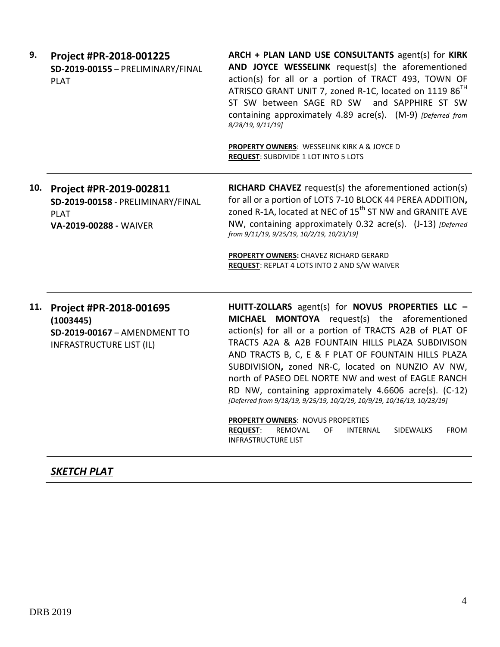| 9.  | Project #PR-2018-001225<br>SD-2019-00155 - PRELIMINARY/FINAL<br><b>PLAT</b>                             | ARCH + PLAN LAND USE CONSULTANTS agent(s) for KIRK<br>AND JOYCE WESSELINK request(s) the aforementioned<br>action(s) for all or a portion of TRACT 493, TOWN OF<br>ATRISCO GRANT UNIT 7, zoned R-1C, located on 1119 86 <sup>TH</sup><br>ST SW between SAGE RD SW and SAPPHIRE ST SW<br>containing approximately 4.89 acre(s). (M-9) [Deferred from<br>8/28/19, 9/11/19]<br>PROPERTY OWNERS: WESSELINK KIRK A & JOYCE D<br><b>REQUEST: SUBDIVIDE 1 LOT INTO 5 LOTS</b>                                                                                                                                                                                                                |
|-----|---------------------------------------------------------------------------------------------------------|---------------------------------------------------------------------------------------------------------------------------------------------------------------------------------------------------------------------------------------------------------------------------------------------------------------------------------------------------------------------------------------------------------------------------------------------------------------------------------------------------------------------------------------------------------------------------------------------------------------------------------------------------------------------------------------|
| 10. | Project #PR-2019-002811<br>SD-2019-00158 - PRELIMINARY/FINAL<br><b>PLAT</b><br>VA-2019-00288 - WAIVER   | RICHARD CHAVEZ request(s) the aforementioned action(s)<br>for all or a portion of LOTS 7-10 BLOCK 44 PEREA ADDITION,<br>zoned R-1A, located at NEC of 15 <sup>th</sup> ST NW and GRANITE AVE<br>NW, containing approximately 0.32 acre(s). (J-13) [Deferred<br>from 9/11/19, 9/25/19, 10/2/19, 10/23/19]<br>PROPERTY OWNERS: CHAVEZ RICHARD GERARD<br><b>REQUEST: REPLAT 4 LOTS INTO 2 AND S/W WAIVER</b>                                                                                                                                                                                                                                                                             |
| 11. | Project #PR-2018-001695<br>(1003445)<br>SD-2019-00167 - AMENDMENT TO<br><b>INFRASTRUCTURE LIST (IL)</b> | HUITT-ZOLLARS agent(s) for NOVUS PROPERTIES LLC -<br>MICHAEL MONTOYA request(s) the aforementioned<br>action(s) for all or a portion of TRACTS A2B of PLAT OF<br>TRACTS A2A & A2B FOUNTAIN HILLS PLAZA SUBDIVISON<br>AND TRACTS B, C, E & F PLAT OF FOUNTAIN HILLS PLAZA<br>SUBDIVISION, zoned NR-C, located on NUNZIO AV NW,<br>north of PASEO DEL NORTE NW and west of EAGLE RANCH<br>RD NW, containing approximately 4.6606 acre(s). (C-12)<br>[Deferred from 9/18/19, 9/25/19, 10/2/19, 10/9/19, 10/16/19, 10/23/19]<br>PROPERTY OWNERS: NOVUS PROPERTIES<br><b>REQUEST:</b><br>REMOVAL<br>OF<br><b>INTERNAL</b><br><b>SIDEWALKS</b><br><b>FROM</b><br><b>INFRASTRUCTURE LIST</b> |

# *SKETCH PLAT*